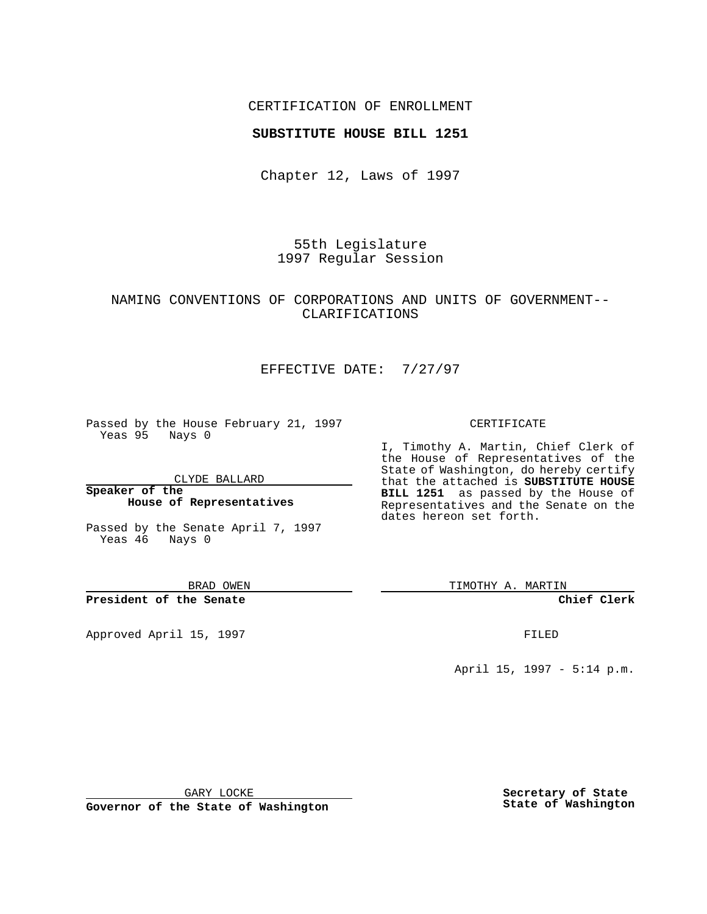## CERTIFICATION OF ENROLLMENT

## **SUBSTITUTE HOUSE BILL 1251**

Chapter 12, Laws of 1997

55th Legislature 1997 Regular Session

# NAMING CONVENTIONS OF CORPORATIONS AND UNITS OF GOVERNMENT-- CLARIFICATIONS

# EFFECTIVE DATE: 7/27/97

Passed by the House February 21, 1997 Yeas 95 Nays 0

CLYDE BALLARD

**Speaker of the House of Representatives**

Passed by the Senate April 7, 1997 Yeas 46 Nays 0

BRAD OWEN

**President of the Senate**

Approved April 15, 1997 **FILED** 

#### CERTIFICATE

I, Timothy A. Martin, Chief Clerk of the House of Representatives of the State of Washington, do hereby certify that the attached is **SUBSTITUTE HOUSE BILL 1251** as passed by the House of Representatives and the Senate on the dates hereon set forth.

TIMOTHY A. MARTIN

**Chief Clerk**

April 15, 1997 - 5:14 p.m.

GARY LOCKE

**Governor of the State of Washington**

**Secretary of State State of Washington**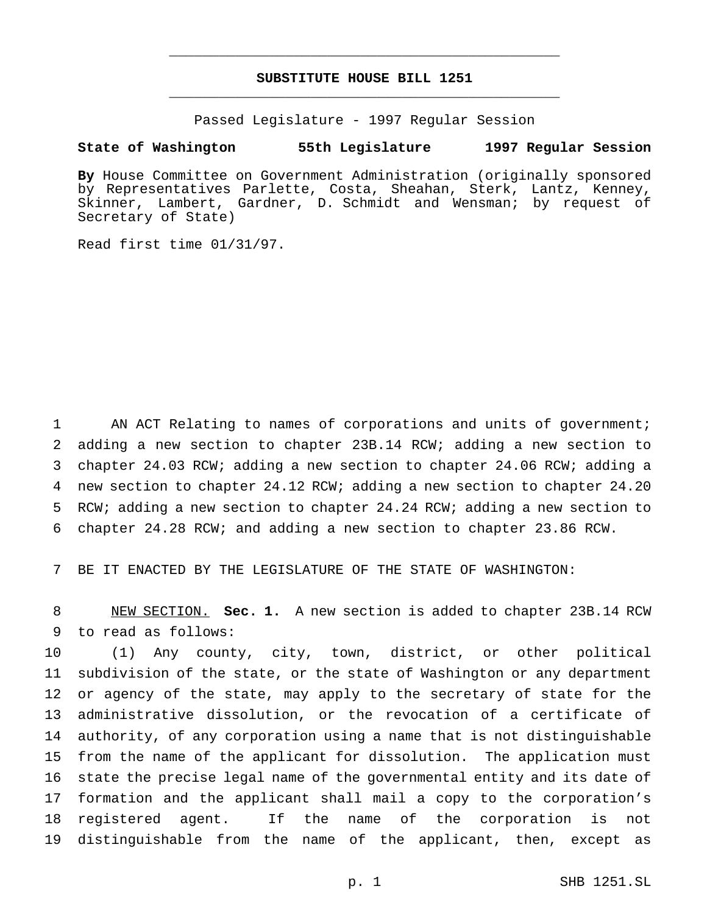# **SUBSTITUTE HOUSE BILL 1251** \_\_\_\_\_\_\_\_\_\_\_\_\_\_\_\_\_\_\_\_\_\_\_\_\_\_\_\_\_\_\_\_\_\_\_\_\_\_\_\_\_\_\_\_\_\_\_

\_\_\_\_\_\_\_\_\_\_\_\_\_\_\_\_\_\_\_\_\_\_\_\_\_\_\_\_\_\_\_\_\_\_\_\_\_\_\_\_\_\_\_\_\_\_\_

Passed Legislature - 1997 Regular Session

### **State of Washington 55th Legislature 1997 Regular Session**

**By** House Committee on Government Administration (originally sponsored by Representatives Parlette, Costa, Sheahan, Sterk, Lantz, Kenney, Skinner, Lambert, Gardner, D. Schmidt and Wensman; by request of Secretary of State)

Read first time 01/31/97.

 AN ACT Relating to names of corporations and units of government; adding a new section to chapter 23B.14 RCW; adding a new section to chapter 24.03 RCW; adding a new section to chapter 24.06 RCW; adding a new section to chapter 24.12 RCW; adding a new section to chapter 24.20 RCW; adding a new section to chapter 24.24 RCW; adding a new section to chapter 24.28 RCW; and adding a new section to chapter 23.86 RCW.

BE IT ENACTED BY THE LEGISLATURE OF THE STATE OF WASHINGTON:

 NEW SECTION. **Sec. 1.** A new section is added to chapter 23B.14 RCW to read as follows:

 (1) Any county, city, town, district, or other political subdivision of the state, or the state of Washington or any department or agency of the state, may apply to the secretary of state for the administrative dissolution, or the revocation of a certificate of authority, of any corporation using a name that is not distinguishable from the name of the applicant for dissolution. The application must state the precise legal name of the governmental entity and its date of formation and the applicant shall mail a copy to the corporation's registered agent. If the name of the corporation is not distinguishable from the name of the applicant, then, except as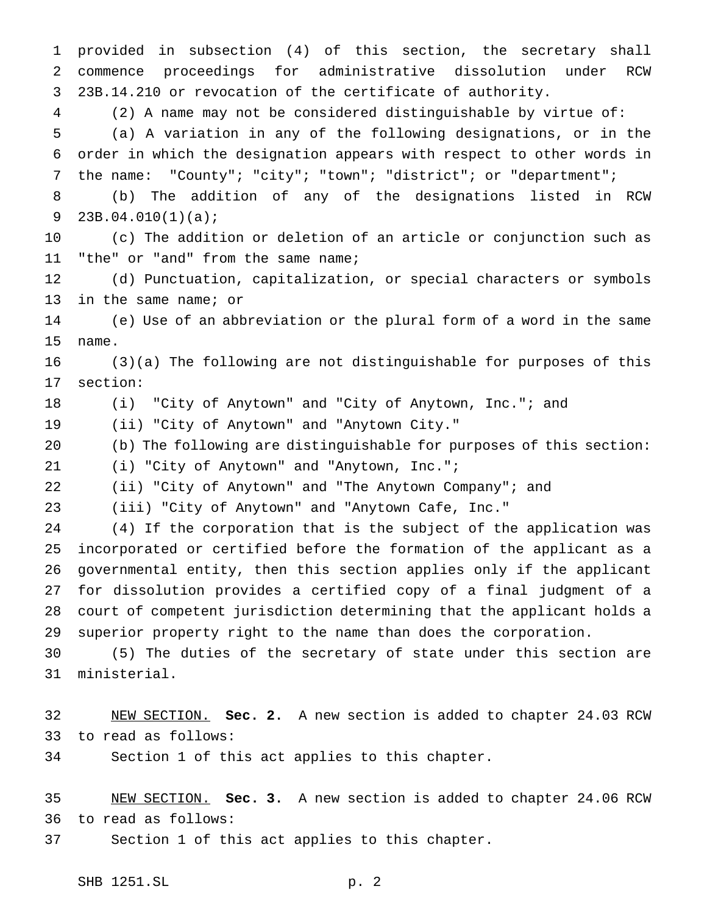provided in subsection (4) of this section, the secretary shall commence proceedings for administrative dissolution under RCW 23B.14.210 or revocation of the certificate of authority. (2) A name may not be considered distinguishable by virtue of: (a) A variation in any of the following designations, or in the order in which the designation appears with respect to other words in the name: "County"; "city"; "town"; "district"; or "department"; (b) The addition of any of the designations listed in RCW 23B.04.010(1)(a); (c) The addition or deletion of an article or conjunction such as "the" or "and" from the same name; (d) Punctuation, capitalization, or special characters or symbols in the same name; or (e) Use of an abbreviation or the plural form of a word in the same name. (3)(a) The following are not distinguishable for purposes of this section: (i) "City of Anytown" and "City of Anytown, Inc."; and (ii) "City of Anytown" and "Anytown City." (b) The following are distinguishable for purposes of this section: (i) "City of Anytown" and "Anytown, Inc."; (ii) "City of Anytown" and "The Anytown Company"; and (iii) "City of Anytown" and "Anytown Cafe, Inc." (4) If the corporation that is the subject of the application was incorporated or certified before the formation of the applicant as a governmental entity, then this section applies only if the applicant for dissolution provides a certified copy of a final judgment of a court of competent jurisdiction determining that the applicant holds a superior property right to the name than does the corporation. (5) The duties of the secretary of state under this section are ministerial. NEW SECTION. **Sec. 2.** A new section is added to chapter 24.03 RCW to read as follows: Section 1 of this act applies to this chapter.

 NEW SECTION. **Sec. 3.** A new section is added to chapter 24.06 RCW to read as follows:

Section 1 of this act applies to this chapter.

SHB 1251.SL p. 2